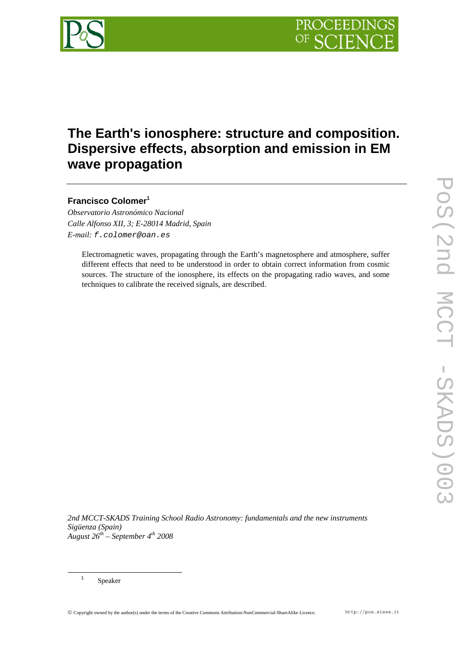

# **The Earth's ionosphere: structure and composition. Dispersive effects, absorption and emission in EM wave propagation**

# **Francisco Colomer<sup>1</sup>**

*Observatorio Astronómico Nacional Calle Alfonso XII, 3; E-28014 Madrid, Spain E-mail: f.colomer@oan.es* 

Electromagnetic waves, propagating through the Earth's magnetosphere and atmosphere, suffer different effects that need to be understood in order to obtain correct information from cosmic sources. The structure of the ionosphere, its effects on the propagating radio waves, and some techniques to calibrate the received signals, are described.

*2nd MCCT-SKADS Training School Radio Astronomy: fundamentals and the new instruments Sigüenza (Spain) August 26th – September 4th 2008*

 <sup>1</sup> Speaker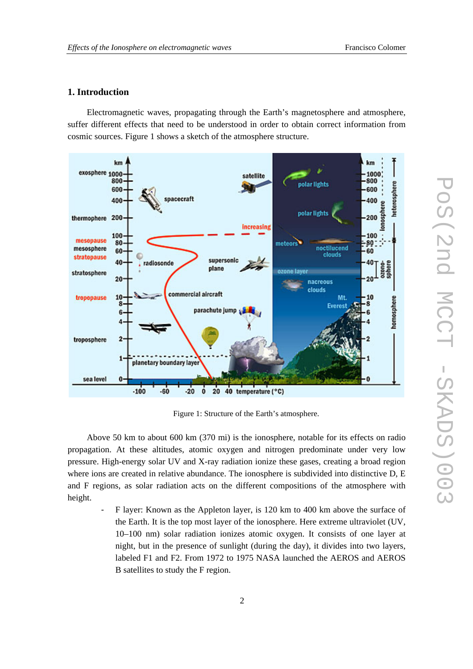# **1. Introduction**

Electromagnetic waves, propagating through the Earth's magnetosphere and atmosphere, suffer different effects that need to be understood in order to obtain correct information from cosmic sources. Figure 1 shows a sketch of the atmosphere structure.



Figure 1: Structure of the Earth's atmosphere.

Above 50 km to about 600 km (370 mi) is the ionosphere, notable for its effects on radio propagation. At these altitudes, atomic oxygen and nitrogen predominate under very low pressure. High-energy solar UV and X-ray radiation ionize these gases, creating a broad region where ions are created in relative abundance. The ionosphere is subdivided into distinctive D, E and F regions, as solar radiation acts on the different compositions of the atmosphere with height.

F layer: Known as the Appleton layer, is 120 km to 400 km above the surface of the Earth. It is the top most layer of the ionosphere. Here extreme ultraviolet (UV, 10–100 nm) solar radiation ionizes atomic oxygen. It consists of one layer at night, but in the presence of sunlight (during the day), it divides into two layers, labeled F1 and F2. From 1972 to 1975 NASA launched the AEROS and AEROS B satellites to study the F region.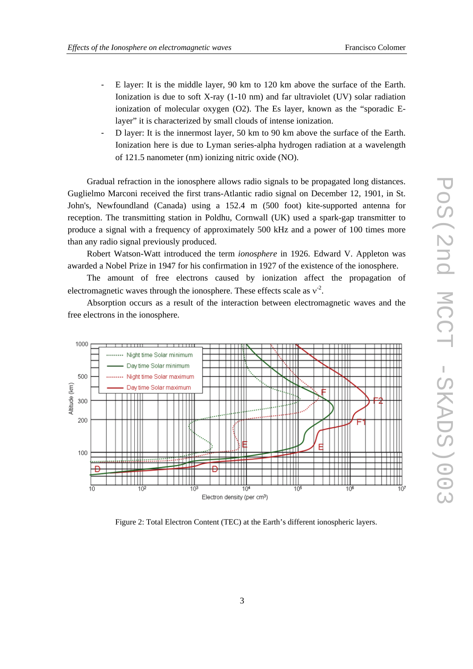- E layer: It is the middle layer, 90 km to 120 km above the surface of the Earth. Ionization is due to soft X-ray (1-10 nm) and far ultraviolet (UV) solar radiation ionization of molecular oxygen (O2). The Es layer, known as the "sporadic Elayer" it is characterized by small clouds of intense ionization.
- D layer: It is the innermost layer, 50 km to 90 km above the surface of the Earth. Ionization here is due to Lyman series-alpha hydrogen radiation at a wavelength of 121.5 nanometer (nm) ionizing nitric oxide (NO).

Gradual refraction in the ionosphere allows radio signals to be propagated long distances. Guglielmo Marconi received the first trans-Atlantic radio signal on December 12, 1901, in St. John's, Newfoundland (Canada) using a 152.4 m (500 foot) kite-supported antenna for reception. The transmitting station in Poldhu, Cornwall (UK) used a spark-gap transmitter to produce a signal with a frequency of approximately 500 kHz and a power of 100 times more than any radio signal previously produced.

Robert Watson-Watt introduced the term *ionosphere* in 1926. Edward V. Appleton was awarded a Nobel Prize in 1947 for his confirmation in 1927 of the existence of the ionosphere.

The amount of free electrons caused by ionization affect the propagation of electromagnetic waves through the ionosphere. These effects scale as  $v^2$ .

Absorption occurs as a result of the interaction between electromagnetic waves and the free electrons in the ionosphere.



Figure 2: Total Electron Content (TEC) at the Earth's different ionospheric layers.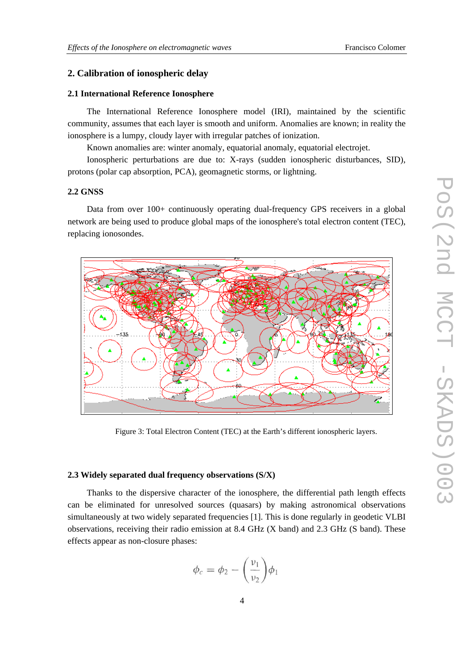# **2. Calibration of ionospheric delay**

#### **2.1 International Reference Ionosphere**

The International Reference Ionosphere model (IRI), maintained by the scientific community, assumes that each layer is smooth and uniform. Anomalies are known; in reality the ionosphere is a lumpy, cloudy layer with irregular patches of ionization.

Known anomalies are: winter anomaly, equatorial anomaly, equatorial electrojet.

Ionospheric perturbations are due to: X-rays (sudden ionospheric disturbances, SID), protons (polar cap absorption, PCA), geomagnetic storms, or lightning.

#### **2.2 GNSS**

Data from over 100+ continuously operating dual-frequency GPS receivers in a global network are being used to produce global maps of the ionosphere's total electron content (TEC), replacing ionosondes.



Figure 3: Total Electron Content (TEC) at the Earth's different ionospheric layers.

#### **2.3 Widely separated dual frequency observations (S/X)**

Thanks to the dispersive character of the ionosphere, the differential path length effects can be eliminated for unresolved sources (quasars) by making astronomical observations simultaneously at two widely separated frequencies [1]. This is done regularly in geodetic VLBI observations, receiving their radio emission at 8.4 GHz (X band) and 2.3 GHz (S band). These effects appear as non-closure phases:

$$
\phi_c = \phi_2 - \left(\frac{\nu_1}{\nu_2}\right)\phi_1
$$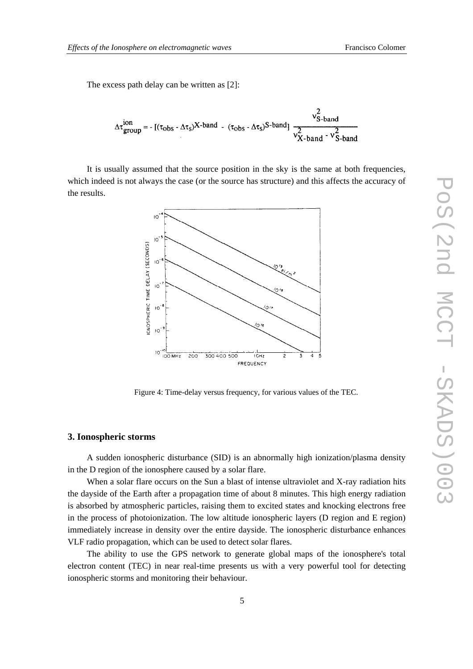The excess path delay can be written as [2]:

$$
\Delta \tau_{group}^{ion} = -\left[ (\tau_{obs} - \Delta \tau_{s})X\text{-band } - (\tau_{obs} - \Delta \tau_{s})S\text{-band} \right] \frac{v_{S-band}^{2}}{v_{X-band}^{2} - v_{S-band}^{2}}
$$

It is usually assumed that the source position in the sky is the same at both frequencies, which indeed is not always the case (or the source has structure) and this affects the accuracy of the results.



Figure 4: Time-delay versus frequency, for various values of the TEC.

### **3. Ionospheric storms**

A sudden ionospheric disturbance (SID) is an abnormally high ionization/plasma density in the D region of the ionosphere caused by a solar flare.

When a solar flare occurs on the Sun a blast of intense ultraviolet and X-ray radiation hits the dayside of the Earth after a propagation time of about 8 minutes. This high energy radiation is absorbed by atmospheric particles, raising them to excited states and knocking electrons free in the process of photoionization. The low altitude ionospheric layers (D region and E region) immediately increase in density over the entire dayside. The ionospheric disturbance enhances VLF radio propagation, which can be used to detect solar flares.

The ability to use the GPS network to generate global maps of the ionosphere's total electron content (TEC) in near real-time presents us with a very powerful tool for detecting ionospheric storms and monitoring their behaviour.